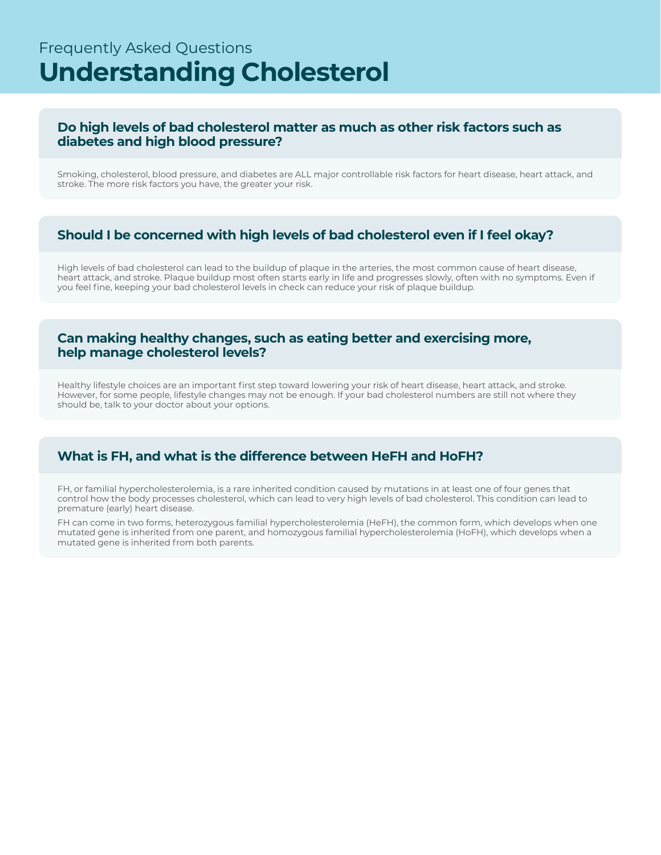### Frequently Asked Questions **Understanding Cholesterol**

#### **Do high levels of bad cholesterol matter as much as other risk factors such as diabetes and high blood pressure?**

Smoking, cholesterol, blood pressure, and diabetes are ALL major controllable risk factors for heart disease, heart attack, and stroke. The more risk factors you have, the greater your risk.

#### **Should I be concerned with high levels of bad cholesterol even if I feel okay?**

High levels of bad cholesterol can lead to the buildup of plaque in the arteries, the most common cause of heart disease, heart attack, and stroke. Plaque buildup most often starts early in life and progresses slowly, often with no symptoms. Even if you feel fine, keeping your bad cholesterol levels in check can reduce your risk of plaque buildup.

#### **Can making healthy changes, such as eating better and exercising more, help manage cholesterol levels?**

Healthy lifestyle choices are an important first step toward lowering your risk of heart disease, heart attack, and stroke. However, for some people, lifestyle changes may not be enough. If your bad cholesterol numbers are still not where they should be, talk to your doctor about your options.

#### **What is FH, and what is the difference between HeFH and HoFH?**

FH, or familial hypercholesterolemia, is a rare inherited condition caused by mutations in at least one of four genes that control how the body processes cholesterol, which can lead to very high levels of bad cholesterol. This condition can lead to premature (early) heart disease.

FH can come in two forms, heterozygous familial hypercholesterolemia (HeFH), the common form, which develops when one mutated gene is inherited from one parent, and homozygous familial hypercholesterolemia (HoFH), which develops when a mutated gene is inherited from both parents.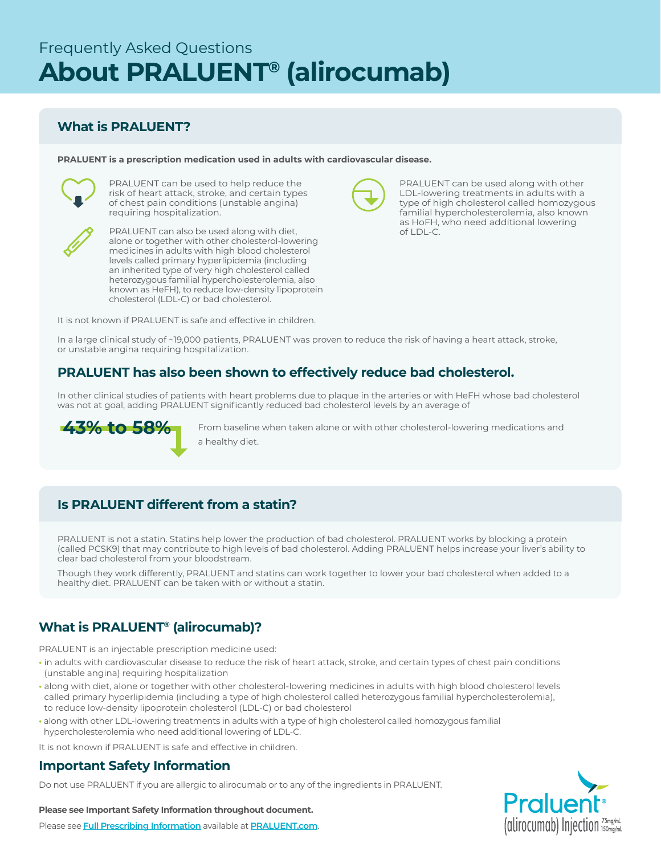### Frequently Asked Questions **About PRALUENT® (alirocumab)**

### **What is PRALUENT?**

**PRALUENT is a prescription medication used in adults with cardiovascular disease.**



PRALUENT can be used to help reduce the risk of heart attack, stroke, and certain types of chest pain conditions (unstable angina) requiring hospitalization.



PRALUENT can also be used along with diet,  $\qquad \qquad$  of LDL-C. alone or together with other cholesterol-lowering medicines in adults with high blood cholesterol levels called primary hyperlipidemia (including an inherited type of very high cholesterol called heterozygous familial hypercholesterolemia, also known as HeFH), to reduce low-density lipoprotein cholesterol (LDL-C) or bad cholesterol.



PRALUENT can be used along with other LDL-lowering treatments in adults with a type of high cholesterol called homozygous familial hypercholesterolemia, also known as HoFH, who need additional lowering

It is not known if PRALUENT is safe and effective in children.

In a large clinical study of ~19,000 patients, PRALUENT was proven to reduce the risk of having a heart attack, stroke, or unstable angina requiring hospitalization.

#### **PRALUENT has also been shown to effectively reduce bad cholesterol.**

In other clinical studies of patients with heart problems due to plaque in the arteries or with HeFH whose bad cholesterol was not at goal, adding PRALUENT significantly reduced bad cholesterol levels by an average of



From baseline when taken alone or with other cholesterol-lowering medications and a healthy diet.

#### **Is PRALUENT different from a statin?**

PRALUENT is not a statin. Statins help lower the production of bad cholesterol. PRALUENT works by blocking a protein (called PCSK9) that may contribute to high levels of bad cholesterol. Adding PRALUENT helps increase your liver's ability to clear bad cholesterol from your bloodstream.

Though they work differently, PRALUENT and statins can work together to lower your bad cholesterol when added to a healthy diet. PRALUENT can be taken with or without a statin.

### **What is PRALUENT® (alirocumab)?**

PRALUENT is an injectable prescription medicine used:

- **•** in adults with cardiovascular disease to reduce the risk of heart attack, stroke, and certain types of chest pain conditions (unstable angina) requiring hospitalization
- **•** along with diet, alone or together with other cholesterol-lowering medicines in adults with high blood cholesterol levels called primary hyperlipidemia (including a type of high cholesterol called heterozygous familial hypercholesterolemia), to reduce low-density lipoprotein cholesterol (LDL-C) or bad cholesterol
- **•** along with other LDL-lowering treatments in adults with a type of high cholesterol called homozygous familial hypercholesterolemia who need additional lowering of LDL-C.

It is not known if PRALUENT is safe and effective in children.

#### **Important Safety Information**

Do not use PRALUENT if you are allergic to alirocumab or to any of the ingredients in PRALUENT.



Please see **Full Prescribing Information** available at **PRALUENT.com**.

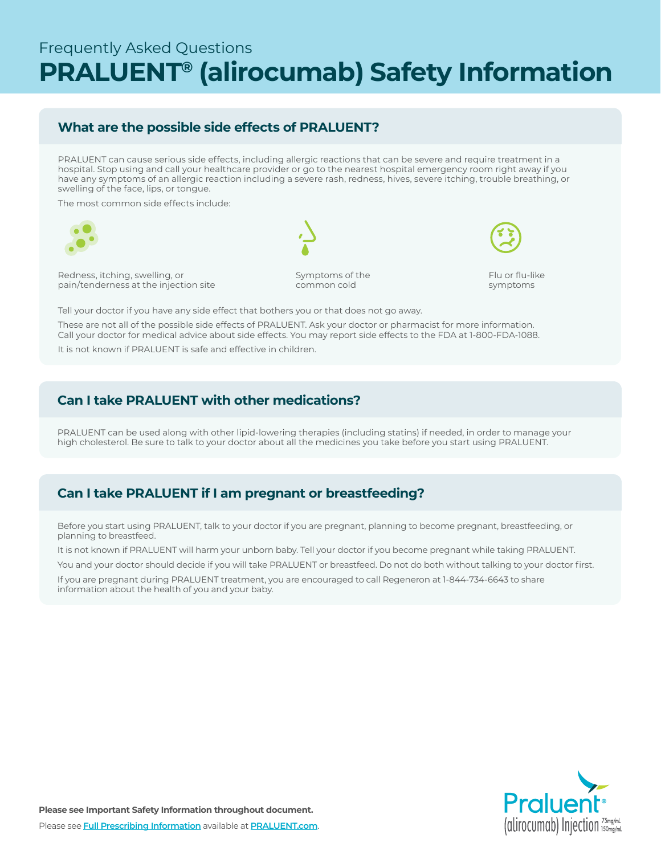# Frequently Asked Questions **PRALUENT® (alirocumab) Safety Information**

#### **What are the possible side effects of PRALUENT?**

PRALUENT can cause serious side effects, including allergic reactions that can be severe and require treatment in a hospital. Stop using and call your healthcare provider or go to the nearest hospital emergency room right away if you have any symptoms of an allergic reaction including a severe rash, redness, hives, severe itching, trouble breathing, or swelling of the face, lips, or tongue.

The most common side effects include:



Redness, itching, swelling, or pain/tenderness at the injection site Symptoms of the common cold



Flu or flu-like symptoms

Tell your doctor if you have any side effect that bothers you or that does not go away.

These are not all of the possible side effects of PRALUENT. Ask your doctor or pharmacist for more information. Call your doctor for medical advice about side effects. You may report side effects to the FDA at 1-800-FDA-1088. It is not known if PRALUENT is safe and effective in children.

#### **Can I take PRALUENT with other medications?**

PRALUENT can be used along with other lipid-lowering therapies (including statins) if needed, in order to manage your high cholesterol. Be sure to talk to your doctor about all the medicines you take before you start using PRALUENT.

#### **Can I take PRALUENT if I am pregnant or breastfeeding?**

Before you start using PRALUENT, talk to your doctor if you are pregnant, planning to become pregnant, breastfeeding, or planning to breastfeed.

It is not known if PRALUENT will harm your unborn baby. Tell your doctor if you become pregnant while taking PRALUENT. You and your doctor should decide if you will take PRALUENT or breastfeed. Do not do both without talking to your doctor first.

If you are pregnant during PRALUENT treatment, you are encouraged to call Regeneron at 1-844-734-6643 to share information about the health of you and your baby.

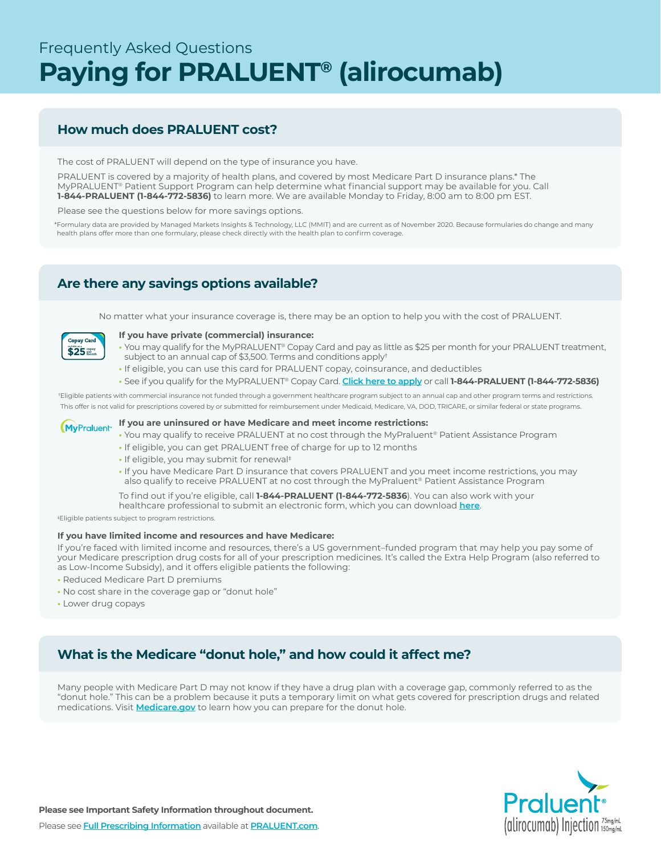# Frequently Asked Questions **Paying for PRALUENT® (alirocumab)**

#### **How much does PRALUENT cost?**

The cost of PRALUENT will depend on the type of insurance you have.

PRALUENT is covered by a majority of health plans, and covered by most Medicare Part D insurance plans.\* The MyPRALUENT® Patient Support Program can help determine what financial support may be available for you. Call **1-844-PRALUENT (1-844-772-5836)** to learn more. We are available Monday to Friday, 8:00 am to 8:00 pm EST.

Please see the questions below for more savings options.

\*Formulary data are provided by Managed Markets Insights & Technology, LLC (MMIT) and are current as of November 2020. Because formularies do change and many health plans offer more than one formulary, please check directly with the health plan to confirm coverage.

#### **Are there any savings options available?**

No matter what your insurance coverage is, there may be an option to help you with the cost of PRALUENT.



#### **If you have private (commercial) insurance:**

- **•** You may qualify for the MyPRALUENT® Copay Card and pay as little as \$25 per month for your PRALUENT treatment, subject to an annual cap of \$3,500. Terms and conditions apply†
- **•** If eligible, you can use this card for PRALUENT copay, coinsurance, and deductibles
- **•** See if you qualify for the MyPRALUENT® Copay Card. **Click here to apply** or call **1-844-PRALUENT (1-844-772-5836)**

† Eligible patients with commercial insurance not funded through a government healthcare program subject to an annual cap and other program terms and restrictions. This offer is not valid for prescriptions covered by or submitted for reimbursement under Medicaid, Medicare, VA, DOD, TRICARE, or similar federal or state programs.

### **If you are uninsured or have Medicare and meet income restrictions:**

- **•** You may qualify to receive PRALUENT at no cost through the MyPraluent® Patient Assistance Program
- **•** If eligible, you can get PRALUENT free of charge for up to 12 months
- **•** If eligible, you may submit for renewal‡
- **•** If you have Medicare Part D insurance that covers PRALUENT and you meet income restrictions, you may also qualify to receive PRALUENT at no cost through the MyPraluent® Patient Assistance Program

To find out if you're eligible, call **1-844-PRALUENT (1-844-772-5836**). You can also work with your healthcare professional to submit an electronic form, which you can download **here**.

‡ Eligible patients subject to program restrictions.

#### **If you have limited income and resources and have Medicare:**

If you're faced with limited income and resources, there's a US government–funded program that may help you pay some of your Medicare prescription drug costs for all of your prescription medicines. It's called the Extra Help Program (also referred to as Low-Income Subsidy), and it offers eligible patients the following:

- **•** Reduced Medicare Part D premiums
- **•** No cost share in the coverage gap or "donut hole"
- **•** Lower drug copays

#### **What is the Medicare "donut hole," and how could it affect me?**

Many people with Medicare Part D may not know if they have a drug plan with a coverage gap, commonly referred to as the "donut hole." This can be a problem because it puts a temporary limit on what gets covered for prescription drugs and related medications. Visit **Medicare.gov** to learn how you can prepare for the donut hole.

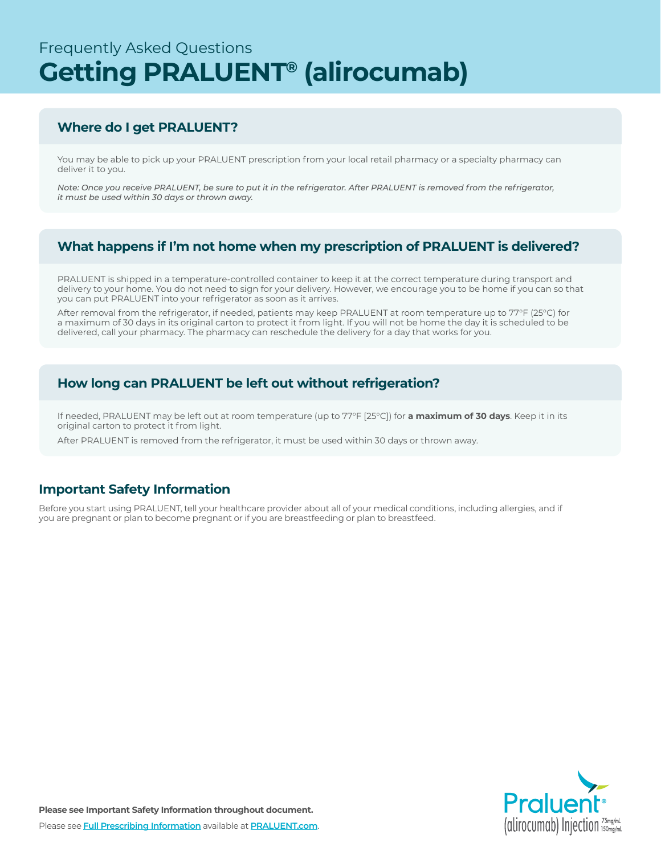# Frequently Asked Questions **Getting PRALUENT® (alirocumab)**

### **Where do I get PRALUENT?**

You may be able to pick up your PRALUENT prescription from your local retail pharmacy or a specialty pharmacy can deliver it to you.

*Note: Once you receive PRALUENT, be sure to put it in the refrigerator. After PRALUENT is removed from the refrigerator, it must be used within 30 days or thrown away.*

### **What happens if I'm not home when my prescription of PRALUENT is delivered?**

PRALUENT is shipped in a temperature-controlled container to keep it at the correct temperature during transport and delivery to your home. You do not need to sign for your delivery. However, we encourage you to be home if you can so that you can put PRALUENT into your refrigerator as soon as it arrives.

After removal from the refrigerator, if needed, patients may keep PRALUENT at room temperature up to 77°F (25°C) for a maximum of 30 days in its original carton to protect it from light. If you will not be home the day it is scheduled to be delivered, call your pharmacy. The pharmacy can reschedule the delivery for a day that works for you.

#### **How long can PRALUENT be left out without refrigeration?**

If needed, PRALUENT may be left out at room temperature (up to 77°F [25°C]) for **a maximum of 30 days**. Keep it in its original carton to protect it from light.

After PRALUENT is removed from the refrigerator, it must be used within 30 days or thrown away.

#### **Important Safety Information**

Before you start using PRALUENT, tell your healthcare provider about all of your medical conditions, including allergies, and if you are pregnant or plan to become pregnant or if you are breastfeeding or plan to breastfeed.

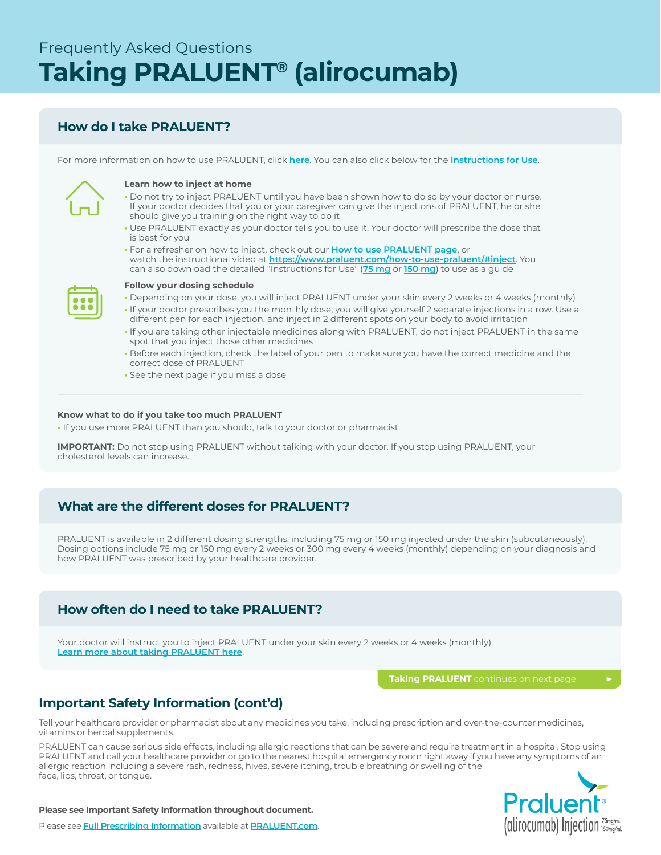## Frequently Asked Questions **Taking PRALUENT® (alirocumab)**

### **How do I take PRALUENT?**

For more information on how to use PRALUENT, click **here**. You can also click below for the **Instructions for Use**.



#### **Learn how to inject at home**

- **•** Do not try to inject PRALUENT until you have been shown how to do so by your doctor or nurse. If your doctor decides that you or your caregiver can give the injections of PRALUENT, he or she should give you training on the right way to do it
- **•** Use PRALUENT exactly as your doctor tells you to use it. Your doctor will prescribe the dose that is best for you
- **•** For a refresher on how to inject, check out our **How to use PRALUENT page**, or watch the instructional video at **https://www.praluent.com/how-to-use-praluent/#inject**. You can also download the detailed "Instructions for Use" (**75 mg** or **150 mg**) to use as a guide



#### **Follow your dosing schedule**

- **•** Depending on your dose, you will inject PRALUENT under your skin every 2 weeks or 4 weeks (monthly)
- **•** If your doctor prescribes you the monthly dose, you will give yourself 2 separate injections in a row. Use a different pen for each injection, and inject in 2 different spots on your body to avoid irritation
- **•** If you are taking other injectable medicines along with PRALUENT, do not inject PRALUENT in the same spot that you inject those other medicines
- **•** Before each injection, check the label of your pen to make sure you have the correct medicine and the correct dose of PRALUENT
- **•** See the next page if you miss a dose

#### **Know what to do if you take too much PRALUENT**

**•** If you use more PRALUENT than you should, talk to your doctor or pharmacist

**IMPORTANT:** Do not stop using PRALUENT without talking with your doctor. If you stop using PRALUENT, your cholesterol levels can increase.

#### **What are the different doses for PRALUENT?**

PRALUENT is available in 2 different dosing strengths, including 75 mg or 150 mg injected under the skin (subcutaneously). Dosing options include 75 mg or 150 mg every 2 weeks or 300 mg every 4 weeks (monthly) depending on your diagnosis and how PRALUENT was prescribed by your healthcare provider.

#### **How often do I need to take PRALUENT?**

Your doctor will instruct you to inject PRALUENT under your skin every 2 weeks or 4 weeks (monthly). **Learn more about taking PRALUENT here**.

**Taking PRALUENT** continues on next page -

#### **Important Safety Information (cont'd)**

Tell your healthcare provider or pharmacist about any medicines you take, including prescription and over-the-counter medicines, vitamins or herbal supplements.

PRALUENT can cause serious side effects, including allergic reactions that can be severe and require treatment in a hospital. Stop using PRALUENT and call your healthcare provider or go to the nearest hospital emergency room right away if you have any symptoms of an allergic reaction including a severe rash, redness, hives, severe itching, trouble breathing or swelling of the face, lips, throat, or tongue.



**Please see Important Safety Information throughout document.**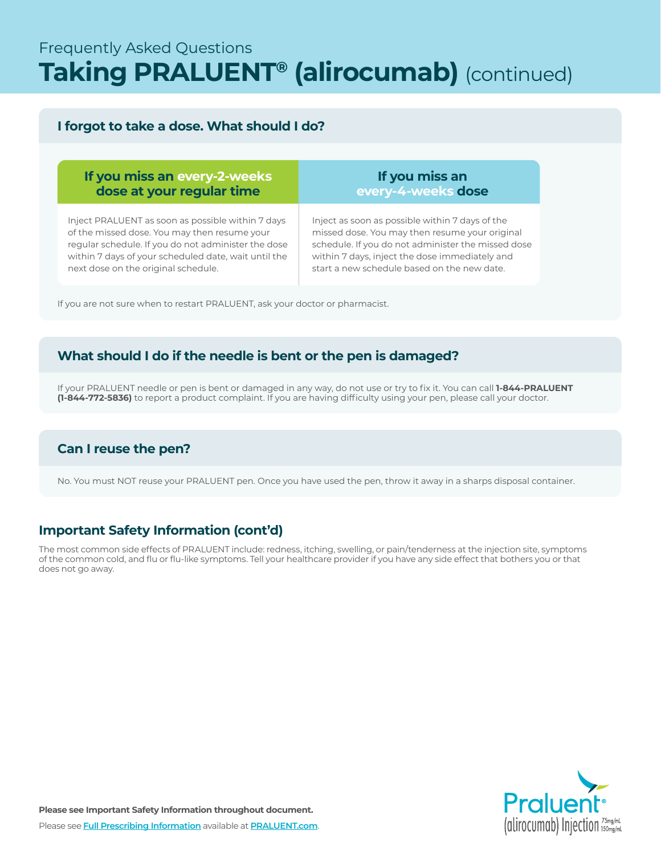# Frequently Asked Questions **Taking PRALUENT® (alirocumab)** (continued)

#### **I forgot to take a dose. What should I do?**

| If you miss an every-2-weeks |  |
|------------------------------|--|
| dose at your regular time    |  |

Inject PRALUENT as soon as possible within 7 days of the missed dose. You may then resume your regular schedule. If you do not administer the dose within 7 days of your scheduled date, wait until the next dose on the original schedule.

Inject as soon as possible within 7 days of the missed dose. You may then resume your original schedule. If you do not administer the missed dose within 7 days, inject the dose immediately and start a new schedule based on the new date.

**If you miss an every-4-weeks dose**

If you are not sure when to restart PRALUENT, ask your doctor or pharmacist.

#### **What should I do if the needle is bent or the pen is damaged?**

If your PRALUENT needle or pen is bent or damaged in any way, do not use or try to fix it. You can call **1-844-PRALUENT (1-844-772-5836)** to report a product complaint. If you are having difficulty using your pen, please call your doctor.

### **Can I reuse the pen?**

No. You must NOT reuse your PRALUENT pen. Once you have used the pen, throw it away in a sharps disposal container.

### **Important Safety Information (cont'd)**

The most common side effects of PRALUENT include: redness, itching, swelling, or pain/tenderness at the injection site, symptoms of the common cold, and flu or flu-like symptoms. Tell your healthcare provider if you have any side effect that bothers you or that does not go away.

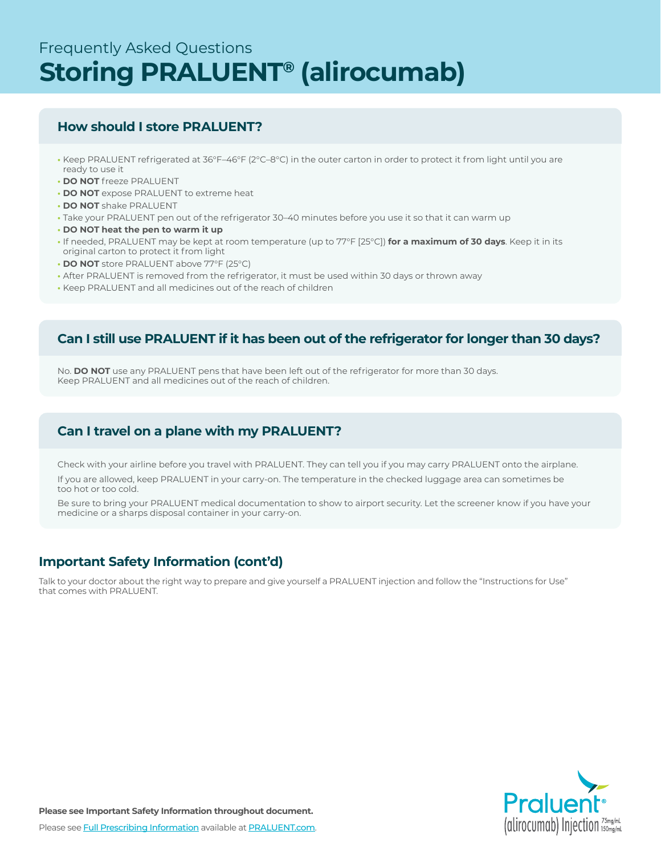# Frequently Asked Questions **Storing PRALUENT® (alirocumab)**

### **How should I store PRALUENT?**

- **•** Keep PRALUENT refrigerated at 36°F–46°F (2°C–8°C) in the outer carton in order to protect it from light until you are ready to use it
- **• DO NOT** freeze PRALUENT
- **• DO NOT** expose PRALUENT to extreme heat
- **• DO NOT** shake PRALUENT
- **•** Take your PRALUENT pen out of the refrigerator 30–40 minutes before you use it so that it can warm up
- **• DO NOT heat the pen to warm it up**
- **•** If needed, PRALUENT may be kept at room temperature (up to 77°F [25°C]) **for a maximum of 30 days**. Keep it in its original carton to protect it from light
- **• DO NOT** store PRALUENT above 77°F (25°C)
- **•** After PRALUENT is removed from the refrigerator, it must be used within 30 days or thrown away
- **•** Keep PRALUENT and all medicines out of the reach of children

#### **Can I still use PRALUENT if it has been out of the refrigerator for longer than 30 days?**

No. **DO NOT** use any PRALUENT pens that have been left out of the refrigerator for more than 30 days. Keep PRALUENT and all medicines out of the reach of children.

#### **Can I travel on a plane with my PRALUENT?**

Check with your airline before you travel with PRALUENT. They can tell you if you may carry PRALUENT onto the airplane.

If you are allowed, keep PRALUENT in your carry-on. The temperature in the checked luggage area can sometimes be too hot or too cold.

Be sure to bring your PRALUENT medical documentation to show to airport security. Let the screener know if you have your medicine or a sharps disposal container in your carry-on.

#### **Important Safety Information (cont'd)**

Talk to your doctor about the right way to prepare and give yourself a PRALUENT injection and follow the "Instructions for Use" that comes with PRALUENT.